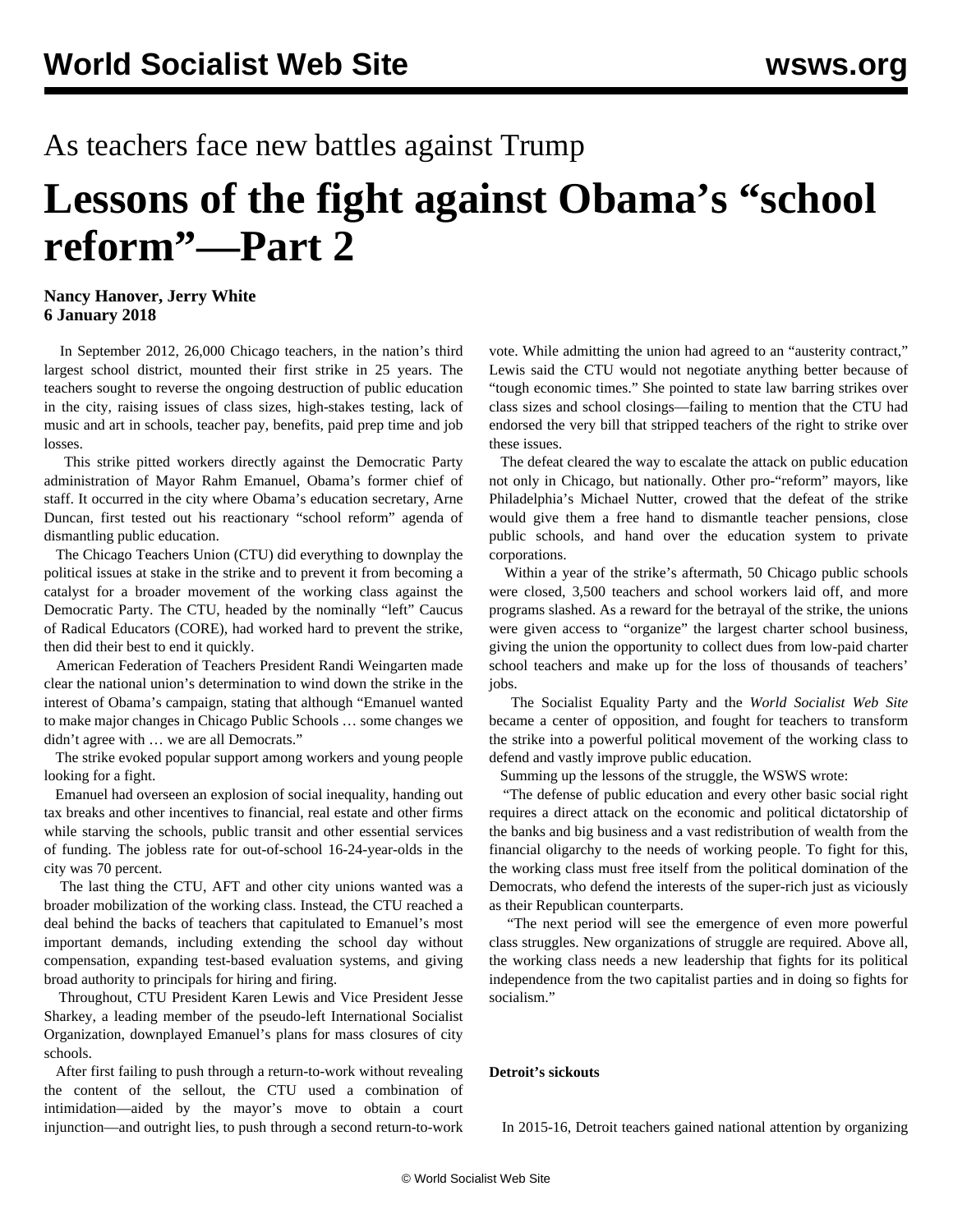## As teachers face new battles against Trump

## **Lessons of the fight against Obama's "school reform"—Part 2**

## **Nancy Hanover, Jerry White 6 January 2018**

 In September 2012, 26,000 Chicago teachers, in the nation's third largest school district, mounted their first strike in 25 years. The teachers sought to reverse the ongoing destruction of public education in the city, raising issues of class sizes, high-stakes testing, lack of music and art in schools, teacher pay, benefits, paid prep time and job losses.

 This strike pitted workers directly against the Democratic Party administration of Mayor Rahm Emanuel, Obama's former chief of staff. It occurred in the city where Obama's education secretary, Arne Duncan, first tested out his reactionary "school reform" agenda of dismantling public education.

 The Chicago Teachers Union (CTU) did everything to downplay the political issues at stake in the strike and to prevent it from becoming a catalyst for a broader movement of the working class against the Democratic Party. The CTU, headed by the nominally "left" Caucus of Radical Educators (CORE), had worked hard to prevent the strike, then did their best to end it quickly.

 American Federation of Teachers President Randi Weingarten made clear the national union's determination to wind down the strike in the interest of Obama's campaign, stating that although "Emanuel wanted to make major changes in Chicago Public Schools … some changes we didn't agree with … we are all Democrats."

 The strike evoked popular support among workers and young people looking for a fight.

 Emanuel had overseen an explosion of social inequality, handing out tax breaks and other incentives to financial, real estate and other firms while starving the schools, public transit and other essential services of funding. The jobless rate for out-of-school 16-24-year-olds in the city was 70 percent.

 The last thing the CTU, AFT and other city unions wanted was a broader mobilization of the working class. Instead, the CTU reached a deal behind the backs of teachers that capitulated to Emanuel's most important demands, including extending the school day without compensation, expanding test-based evaluation systems, and giving broad authority to principals for hiring and firing.

 Throughout, CTU President Karen Lewis and Vice President Jesse Sharkey, a leading member of the pseudo-left International Socialist Organization, downplayed Emanuel's plans for mass closures of city schools.

 After first failing to push through a return-to-work without revealing the content of the sellout, the CTU used a combination of intimidation—aided by the mayor's move to obtain a court injunction—and outright lies, to push through a second return-to-work vote. While admitting the union had agreed to an "austerity contract," Lewis said the CTU would not negotiate anything better because of "tough economic times." She pointed to state law barring strikes over class sizes and school closings—failing to mention that the CTU had endorsed the very bill that stripped teachers of the right to strike over these issues.

 The defeat cleared the way to escalate the attack on public education not only in Chicago, but nationally. Other pro-"reform" mayors, like Philadelphia's Michael Nutter, crowed that the defeat of the strike would give them a free hand to dismantle teacher pensions, close public schools, and hand over the education system to private corporations.

 Within a year of the strike's aftermath, 50 Chicago public schools were closed, 3,500 teachers and school workers laid off, and more programs slashed. As a reward for the betrayal of the strike, the unions were given access to "organize" the largest charter school business, giving the union the opportunity to collect dues from low-paid charter school teachers and make up for the loss of thousands of teachers' jobs.

 The Socialist Equality Party and the *World Socialist Web Site* became a center of opposition, and fought for teachers to transform the strike into a powerful political movement of the working class to defend and vastly improve public education.

Summing up the lessons of the struggle, the WSWS [wrote:](/en/articles/2012/09/chic-s21.html)

 "The defense of public education and every other basic social right requires a direct attack on the economic and political dictatorship of the banks and big business and a vast redistribution of wealth from the financial oligarchy to the needs of working people. To fight for this, the working class must free itself from the political domination of the Democrats, who defend the interests of the super-rich just as viciously as their Republican counterparts.

 "The next period will see the emergence of even more powerful class struggles. New organizations of struggle are required. Above all, the working class needs a new leadership that fights for its political independence from the two capitalist parties and in doing so fights for socialism."

## **Detroit's sickouts**

In 2015-16, Detroit teachers gained national attention by organizing